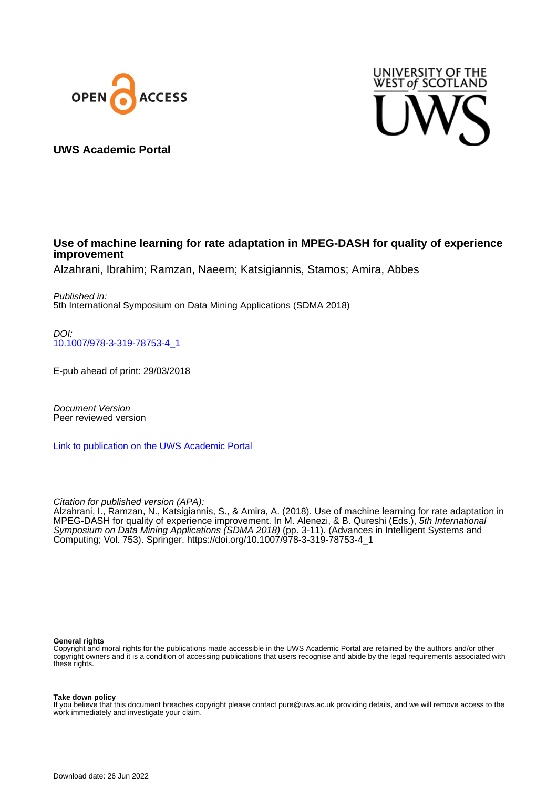



# **UWS Academic Portal**

# **Use of machine learning for rate adaptation in MPEG-DASH for quality of experience improvement**

Alzahrani, Ibrahim; Ramzan, Naeem; Katsigiannis, Stamos; Amira, Abbes

Published in: 5th International Symposium on Data Mining Applications (SDMA 2018)

DOI: [10.1007/978-3-319-78753-4\\_1](https://doi.org/10.1007/978-3-319-78753-4_1)

E-pub ahead of print: 29/03/2018

Document Version Peer reviewed version

[Link to publication on the UWS Academic Portal](https://uws.pure.elsevier.com/en/publications/183ae818-3d5e-4b1d-a10a-b8f243e0aeb8)

Citation for published version (APA):

Alzahrani, I., Ramzan, N., Katsigiannis, S., & Amira, A. (2018). Use of machine learning for rate adaptation in MPEG-DASH for quality of experience improvement. In M. Alenezi, & B. Qureshi (Eds.), 5th International Symposium on Data Mining Applications (SDMA 2018) (pp. 3-11). (Advances in Intelligent Systems and Computing; Vol. 753). Springer. [https://doi.org/10.1007/978-3-319-78753-4\\_1](https://doi.org/10.1007/978-3-319-78753-4_1)

#### **General rights**

Copyright and moral rights for the publications made accessible in the UWS Academic Portal are retained by the authors and/or other copyright owners and it is a condition of accessing publications that users recognise and abide by the legal requirements associated with these rights.

**Take down policy**

If you believe that this document breaches copyright please contact pure@uws.ac.uk providing details, and we will remove access to the work immediately and investigate your claim.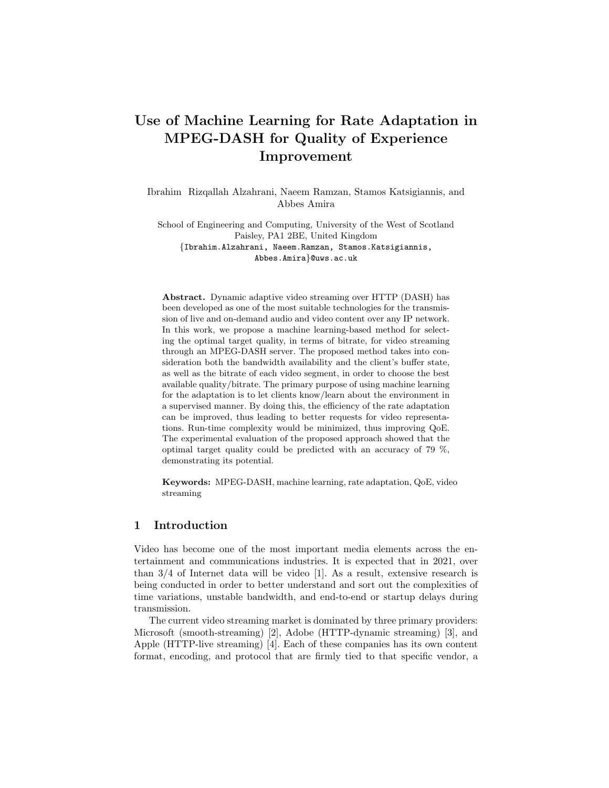# Use of Machine Learning for Rate Adaptation in MPEG-DASH for Quality of Experience Improvement

Ibrahim Rizqallah Alzahrani, Naeem Ramzan, Stamos Katsigiannis, and Abbes Amira

School of Engineering and Computing, University of the West of Scotland Paisley, PA1 2BE, United Kingdom {Ibrahim.Alzahrani, Naeem.Ramzan, Stamos.Katsigiannis, Abbes.Amira}@uws.ac.uk

Abstract. Dynamic adaptive video streaming over HTTP (DASH) has been developed as one of the most suitable technologies for the transmission of live and on-demand audio and video content over any IP network. In this work, we propose a machine learning-based method for selecting the optimal target quality, in terms of bitrate, for video streaming through an MPEG-DASH server. The proposed method takes into consideration both the bandwidth availability and the client's buffer state, as well as the bitrate of each video segment, in order to choose the best available quality/bitrate. The primary purpose of using machine learning for the adaptation is to let clients know/learn about the environment in a supervised manner. By doing this, the efficiency of the rate adaptation can be improved, thus leading to better requests for video representations. Run-time complexity would be minimized, thus improving QoE. The experimental evaluation of the proposed approach showed that the optimal target quality could be predicted with an accuracy of 79 %, demonstrating its potential.

Keywords: MPEG-DASH, machine learning, rate adaptation, QoE, video streaming

### 1 Introduction

Video has become one of the most important media elements across the entertainment and communications industries. It is expected that in 2021, over than 3/4 of Internet data will be video [1]. As a result, extensive research is being conducted in order to better understand and sort out the complexities of time variations, unstable bandwidth, and end-to-end or startup delays during transmission.

The current video streaming market is dominated by three primary providers: Microsoft (smooth-streaming) [2], Adobe (HTTP-dynamic streaming) [3], and Apple (HTTP-live streaming) [4]. Each of these companies has its own content format, encoding, and protocol that are firmly tied to that specific vendor, a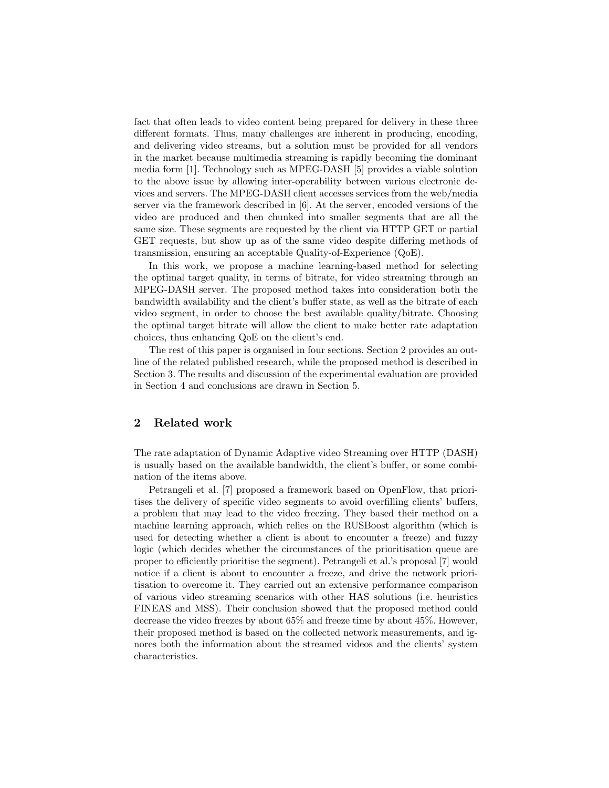fact that often leads to video content being prepared for delivery in these three different formats. Thus, many challenges are inherent in producing, encoding, and delivering video streams, but a solution must be provided for all vendors in the market because multimedia streaming is rapidly becoming the dominant media form [1]. Technology such as MPEG-DASH [5] provides a viable solution to the above issue by allowing inter-operability between various electronic devices and servers. The MPEG-DASH client accesses services from the web/media server via the framework described in [6]. At the server, encoded versions of the video are produced and then chunked into smaller segments that are all the same size. These segments are requested by the client via HTTP GET or partial GET requests, but show up as of the same video despite differing methods of transmission, ensuring an acceptable Quality-of-Experience (QoE).

In this work, we propose a machine learning-based method for selecting the optimal target quality, in terms of bitrate, for video streaming through an MPEG-DASH server. The proposed method takes into consideration both the bandwidth availability and the client's buffer state, as well as the bitrate of each video segment, in order to choose the best available quality/bitrate. Choosing the optimal target bitrate will allow the client to make better rate adaptation choices, thus enhancing QoE on the client's end.

The rest of this paper is organised in four sections. Section 2 provides an outline of the related published research, while the proposed method is described in Section 3. The results and discussion of the experimental evaluation are provided in Section 4 and conclusions are drawn in Section 5.

#### 2 Related work

The rate adaptation of Dynamic Adaptive video Streaming over HTTP (DASH) is usually based on the available bandwidth, the client's buffer, or some combination of the items above.

Petrangeli et al. [7] proposed a framework based on OpenFlow, that prioritises the delivery of specific video segments to avoid overfilling clients' buffers, a problem that may lead to the video freezing. They based their method on a machine learning approach, which relies on the RUSBoost algorithm (which is used for detecting whether a client is about to encounter a freeze) and fuzzy logic (which decides whether the circumstances of the prioritisation queue are proper to efficiently prioritise the segment). Petrangeli et al.'s proposal [7] would notice if a client is about to encounter a freeze, and drive the network prioritisation to overcome it. They carried out an extensive performance comparison of various video streaming scenarios with other HAS solutions (i.e. heuristics FINEAS and MSS). Their conclusion showed that the proposed method could decrease the video freezes by about 65% and freeze time by about 45%. However, their proposed method is based on the collected network measurements, and ignores both the information about the streamed videos and the clients' system characteristics.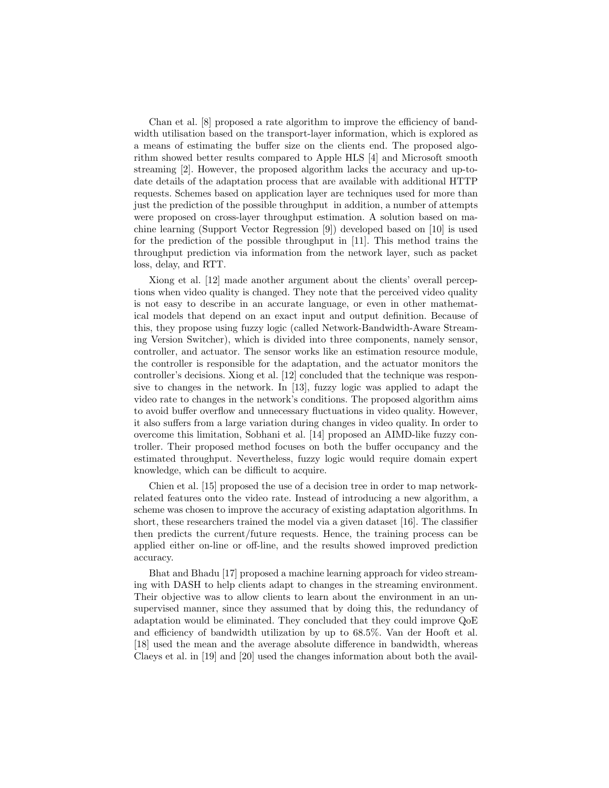Chan et al. [8] proposed a rate algorithm to improve the efficiency of bandwidth utilisation based on the transport-layer information, which is explored as a means of estimating the buffer size on the clients end. The proposed algorithm showed better results compared to Apple HLS [4] and Microsoft smooth streaming [2]. However, the proposed algorithm lacks the accuracy and up-todate details of the adaptation process that are available with additional HTTP requests. Schemes based on application layer are techniques used for more than just the prediction of the possible throughput in addition, a number of attempts were proposed on cross-layer throughput estimation. A solution based on machine learning (Support Vector Regression [9]) developed based on [10] is used for the prediction of the possible throughput in [11]. This method trains the throughput prediction via information from the network layer, such as packet loss, delay, and RTT.

Xiong et al. [12] made another argument about the clients' overall perceptions when video quality is changed. They note that the perceived video quality is not easy to describe in an accurate language, or even in other mathematical models that depend on an exact input and output definition. Because of this, they propose using fuzzy logic (called Network-Bandwidth-Aware Streaming Version Switcher), which is divided into three components, namely sensor, controller, and actuator. The sensor works like an estimation resource module, the controller is responsible for the adaptation, and the actuator monitors the controller's decisions. Xiong et al. [12] concluded that the technique was responsive to changes in the network. In [13], fuzzy logic was applied to adapt the video rate to changes in the network's conditions. The proposed algorithm aims to avoid buffer overflow and unnecessary fluctuations in video quality. However, it also suffers from a large variation during changes in video quality. In order to overcome this limitation, Sobhani et al. [14] proposed an AIMD-like fuzzy controller. Their proposed method focuses on both the buffer occupancy and the estimated throughput. Nevertheless, fuzzy logic would require domain expert knowledge, which can be difficult to acquire.

Chien et al. [15] proposed the use of a decision tree in order to map networkrelated features onto the video rate. Instead of introducing a new algorithm, a scheme was chosen to improve the accuracy of existing adaptation algorithms. In short, these researchers trained the model via a given dataset [16]. The classifier then predicts the current/future requests. Hence, the training process can be applied either on-line or off-line, and the results showed improved prediction accuracy.

Bhat and Bhadu [17] proposed a machine learning approach for video streaming with DASH to help clients adapt to changes in the streaming environment. Their objective was to allow clients to learn about the environment in an unsupervised manner, since they assumed that by doing this, the redundancy of adaptation would be eliminated. They concluded that they could improve QoE and efficiency of bandwidth utilization by up to 68.5%. Van der Hooft et al. [18] used the mean and the average absolute difference in bandwidth, whereas Claeys et al. in [19] and [20] used the changes information about both the avail-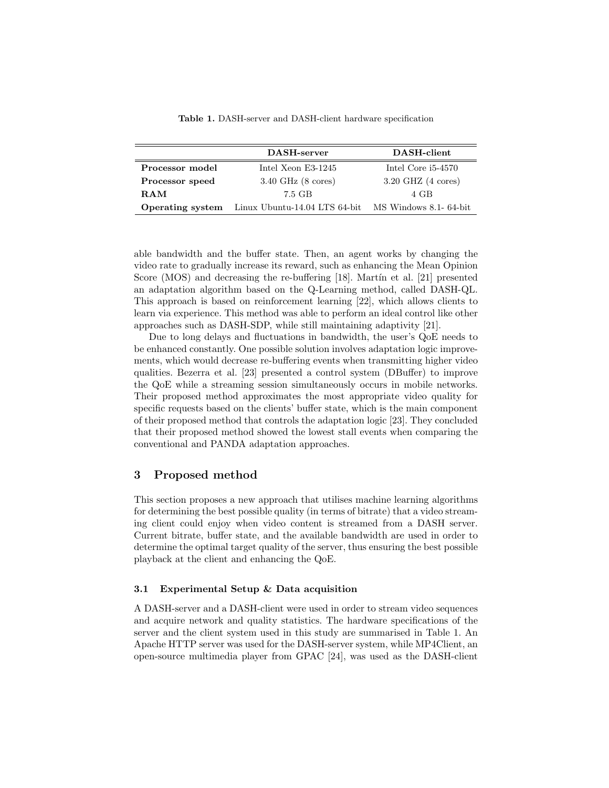|                 | DASH-server                                                                 | DASH-client                    |
|-----------------|-----------------------------------------------------------------------------|--------------------------------|
| Processor model | Intel Xeon E3-1245                                                          | Intel Core i5-4570             |
| Processor speed | $3.40$ GHz $(8 \text{ cores})$                                              | $3.20$ GHZ $(4 \text{ cores})$ |
| RAM             | 7.5 GB                                                                      | 4 GB                           |
|                 | <b>Operating system</b> Linux Ubuntu-14.04 LTS 64-bit MS Windows 8.1-64-bit |                                |

Table 1. DASH-server and DASH-client hardware specification

able bandwidth and the buffer state. Then, an agent works by changing the video rate to gradually increase its reward, such as enhancing the Mean Opinion Score (MOS) and decreasing the re-buffering [18]. Martin et al. [21] presented an adaptation algorithm based on the Q-Learning method, called DASH-QL. This approach is based on reinforcement learning [22], which allows clients to learn via experience. This method was able to perform an ideal control like other approaches such as DASH-SDP, while still maintaining adaptivity [21].

Due to long delays and fluctuations in bandwidth, the user's QoE needs to be enhanced constantly. One possible solution involves adaptation logic improvements, which would decrease re-buffering events when transmitting higher video qualities. Bezerra et al. [23] presented a control system (DBuffer) to improve the QoE while a streaming session simultaneously occurs in mobile networks. Their proposed method approximates the most appropriate video quality for specific requests based on the clients' buffer state, which is the main component of their proposed method that controls the adaptation logic [23]. They concluded that their proposed method showed the lowest stall events when comparing the conventional and PANDA adaptation approaches.

## 3 Proposed method

This section proposes a new approach that utilises machine learning algorithms for determining the best possible quality (in terms of bitrate) that a video streaming client could enjoy when video content is streamed from a DASH server. Current bitrate, buffer state, and the available bandwidth are used in order to determine the optimal target quality of the server, thus ensuring the best possible playback at the client and enhancing the QoE.

#### 3.1 Experimental Setup & Data acquisition

A DASH-server and a DASH-client were used in order to stream video sequences and acquire network and quality statistics. The hardware specifications of the server and the client system used in this study are summarised in Table 1. An Apache HTTP server was used for the DASH-server system, while MP4Client, an open-source multimedia player from GPAC [24], was used as the DASH-client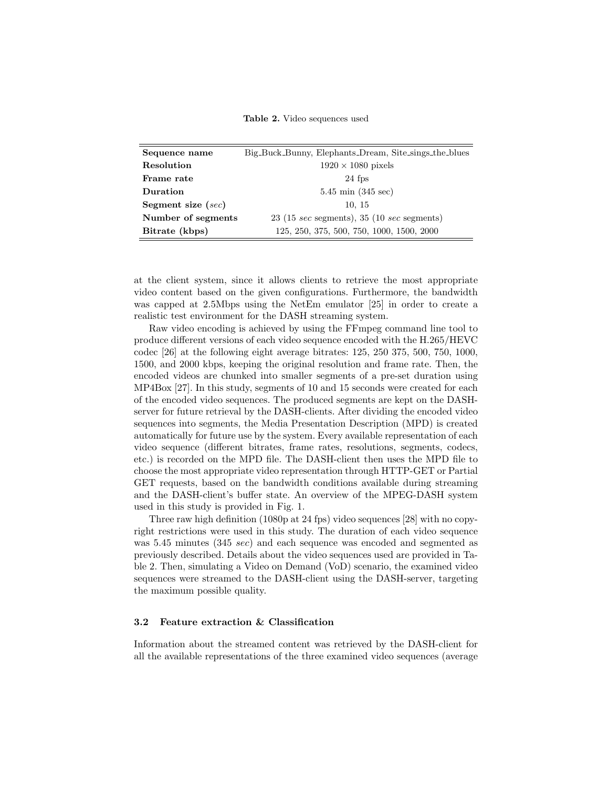Table 2. Video sequences used

| Sequence name        | Big_Buck_Bunny, Elephants_Dream, Site_sings_the_blues      |  |
|----------------------|------------------------------------------------------------|--|
| Resolution           | $1920 \times 1080$ pixels                                  |  |
| Frame rate           | $24$ fps                                                   |  |
| Duration             | $5.45 \text{ min } (345 \text{ sec})$                      |  |
| Segment size $(sec)$ | 10, 15                                                     |  |
| Number of segments   | $23(15 \text{ sec segments}), 35(10 \text{ sec segments})$ |  |
| Bitrate (kbps)       | 125, 250, 375, 500, 750, 1000, 1500, 2000                  |  |

at the client system, since it allows clients to retrieve the most appropriate video content based on the given configurations. Furthermore, the bandwidth was capped at 2.5Mbps using the NetEm emulator [25] in order to create a realistic test environment for the DASH streaming system.

Raw video encoding is achieved by using the FFmpeg command line tool to produce different versions of each video sequence encoded with the H.265/HEVC codec [26] at the following eight average bitrates: 125, 250 375, 500, 750, 1000, 1500, and 2000 kbps, keeping the original resolution and frame rate. Then, the encoded videos are chunked into smaller segments of a pre-set duration using MP4Box [27]. In this study, segments of 10 and 15 seconds were created for each of the encoded video sequences. The produced segments are kept on the DASHserver for future retrieval by the DASH-clients. After dividing the encoded video sequences into segments, the Media Presentation Description (MPD) is created automatically for future use by the system. Every available representation of each video sequence (different bitrates, frame rates, resolutions, segments, codecs, etc.) is recorded on the MPD file. The DASH-client then uses the MPD file to choose the most appropriate video representation through HTTP-GET or Partial GET requests, based on the bandwidth conditions available during streaming and the DASH-client's buffer state. An overview of the MPEG-DASH system used in this study is provided in Fig. 1.

Three raw high definition (1080p at 24 fps) video sequences [28] with no copyright restrictions were used in this study. The duration of each video sequence was 5.45 minutes (345 sec) and each sequence was encoded and segmented as previously described. Details about the video sequences used are provided in Table 2. Then, simulating a Video on Demand (VoD) scenario, the examined video sequences were streamed to the DASH-client using the DASH-server, targeting the maximum possible quality.

#### 3.2 Feature extraction & Classification

Information about the streamed content was retrieved by the DASH-client for all the available representations of the three examined video sequences (average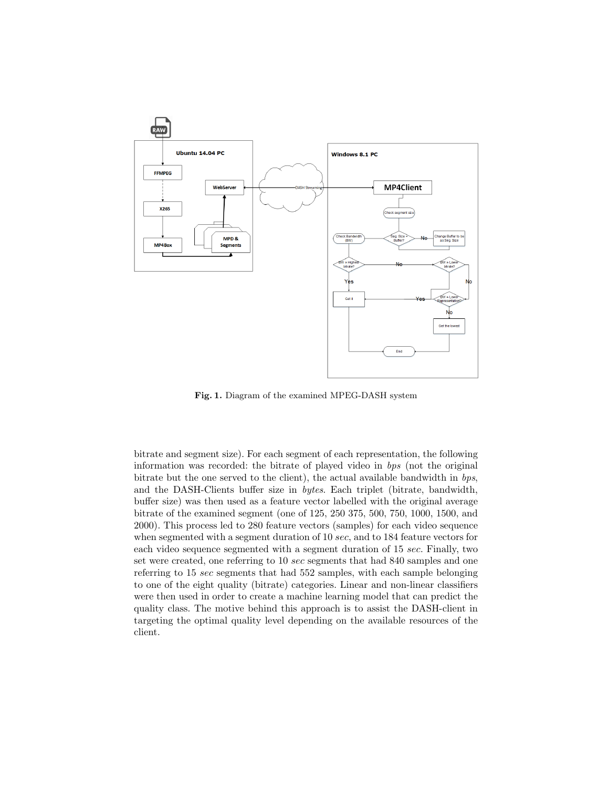

Fig. 1. Diagram of the examined MPEG-DASH system

bitrate and segment size). For each segment of each representation, the following information was recorded: the bitrate of played video in bps (not the original bitrate but the one served to the client), the actual available bandwidth in bps, and the DASH-Clients buffer size in bytes. Each triplet (bitrate, bandwidth, buffer size) was then used as a feature vector labelled with the original average bitrate of the examined segment (one of 125, 250 375, 500, 750, 1000, 1500, and 2000). This process led to 280 feature vectors (samples) for each video sequence when segmented with a segment duration of 10 sec, and to 184 feature vectors for each video sequence segmented with a segment duration of 15 sec. Finally, two set were created, one referring to 10 sec segments that had 840 samples and one referring to 15 sec segments that had 552 samples, with each sample belonging to one of the eight quality (bitrate) categories. Linear and non-linear classifiers were then used in order to create a machine learning model that can predict the quality class. The motive behind this approach is to assist the DASH-client in targeting the optimal quality level depending on the available resources of the client.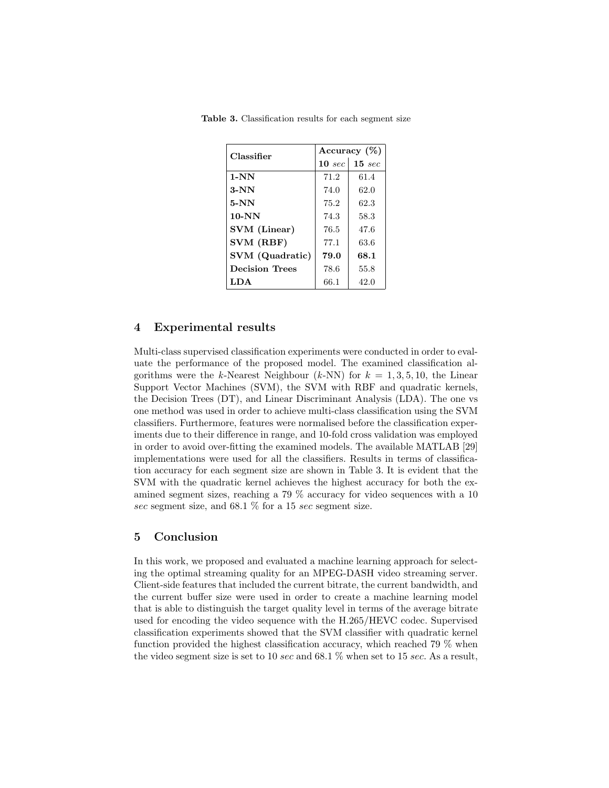| Classifier            | Accuracy $(\%)$ |                  |
|-----------------------|-----------------|------------------|
|                       | $10 \; sec$     | $15 \text{ sec}$ |
| $1-NN$                | 71.2            | 61.4             |
| $3-NN$                | 74.0            | 62.0             |
| $5-NN$                | 75.2            | 62.3             |
| $10-NN$               | 74.3            | 58.3             |
| SVM (Linear)          | 76.5            | 47.6             |
| SVM (RBF)             | 77.1            | 63.6             |
| SVM (Quadratic)       | 79.0            | 68.1             |
| <b>Decision Trees</b> | 78.6            | 55.8             |
| LDA                   | 66.1            | 42.0             |

Table 3. Classification results for each segment size

## 4 Experimental results

Multi-class supervised classification experiments were conducted in order to evaluate the performance of the proposed model. The examined classification algorithms were the k-Nearest Neighbour  $(k-NN)$  for  $k = 1, 3, 5, 10$ , the Linear Support Vector Machines (SVM), the SVM with RBF and quadratic kernels, the Decision Trees (DT), and Linear Discriminant Analysis (LDA). The one vs one method was used in order to achieve multi-class classification using the SVM classifiers. Furthermore, features were normalised before the classification experiments due to their difference in range, and 10-fold cross validation was employed in order to avoid over-fitting the examined models. The available MATLAB [29] implementations were used for all the classifiers. Results in terms of classification accuracy for each segment size are shown in Table 3. It is evident that the SVM with the quadratic kernel achieves the highest accuracy for both the examined segment sizes, reaching a 79 % accuracy for video sequences with a 10 sec segment size, and 68.1 % for a 15 sec segment size.

### 5 Conclusion

In this work, we proposed and evaluated a machine learning approach for selecting the optimal streaming quality for an MPEG-DASH video streaming server. Client-side features that included the current bitrate, the current bandwidth, and the current buffer size were used in order to create a machine learning model that is able to distinguish the target quality level in terms of the average bitrate used for encoding the video sequence with the H.265/HEVC codec. Supervised classification experiments showed that the SVM classifier with quadratic kernel function provided the highest classification accuracy, which reached 79 % when the video segment size is set to 10 sec and 68.1  $\%$  when set to 15 sec. As a result,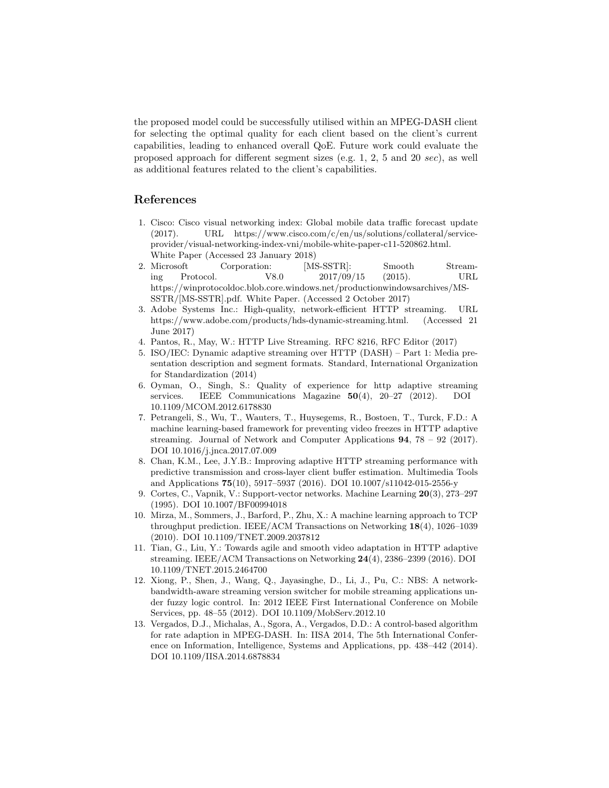the proposed model could be successfully utilised within an MPEG-DASH client for selecting the optimal quality for each client based on the client's current capabilities, leading to enhanced overall QoE. Future work could evaluate the proposed approach for different segment sizes (e.g. 1, 2, 5 and 20 sec), as well as additional features related to the client's capabilities.

#### References

- 1. Cisco: Cisco visual networking index: Global mobile data traffic forecast update (2017). URL https://www.cisco.com/c/en/us/solutions/collateral/serviceprovider/visual-networking-index-vni/mobile-white-paper-c11-520862.html. White Paper (Accessed 23 January 2018)
- 2. Microsoft Corporation: [MS-SSTR]: Smooth Streaming Protocol. V8.0 2017/09/15 (2015). URL https://winprotocoldoc.blob.core.windows.net/productionwindowsarchives/MS-SSTR/[MS-SSTR].pdf. White Paper. (Accessed 2 October 2017)
- 3. Adobe Systems Inc.: High-quality, network-efficient HTTP streaming. URL https://www.adobe.com/products/hds-dynamic-streaming.html. (Accessed 21 June 2017)
- 4. Pantos, R., May, W.: HTTP Live Streaming. RFC 8216, RFC Editor (2017)
- 5. ISO/IEC: Dynamic adaptive streaming over HTTP (DASH) Part 1: Media presentation description and segment formats. Standard, International Organization for Standardization (2014)
- 6. Oyman, O., Singh, S.: Quality of experience for http adaptive streaming services. IEEE Communications Magazine 50(4), 20–27 (2012). DOI 10.1109/MCOM.2012.6178830
- 7. Petrangeli, S., Wu, T., Wauters, T., Huysegems, R., Bostoen, T., Turck, F.D.: A machine learning-based framework for preventing video freezes in HTTP adaptive streaming. Journal of Network and Computer Applications  $94$ ,  $78 - 92$  (2017). DOI 10.1016/j.jnca.2017.07.009
- 8. Chan, K.M., Lee, J.Y.B.: Improving adaptive HTTP streaming performance with predictive transmission and cross-layer client buffer estimation. Multimedia Tools and Applications 75(10), 5917–5937 (2016). DOI 10.1007/s11042-015-2556-y
- 9. Cortes, C., Vapnik, V.: Support-vector networks. Machine Learning 20(3), 273–297 (1995). DOI 10.1007/BF00994018
- 10. Mirza, M., Sommers, J., Barford, P., Zhu, X.: A machine learning approach to TCP throughput prediction. IEEE/ACM Transactions on Networking 18(4), 1026–1039 (2010). DOI 10.1109/TNET.2009.2037812
- 11. Tian, G., Liu, Y.: Towards agile and smooth video adaptation in HTTP adaptive streaming. IEEE/ACM Transactions on Networking 24(4), 2386–2399 (2016). DOI 10.1109/TNET.2015.2464700
- 12. Xiong, P., Shen, J., Wang, Q., Jayasinghe, D., Li, J., Pu, C.: NBS: A networkbandwidth-aware streaming version switcher for mobile streaming applications under fuzzy logic control. In: 2012 IEEE First International Conference on Mobile Services, pp. 48–55 (2012). DOI 10.1109/MobServ.2012.10
- 13. Vergados, D.J., Michalas, A., Sgora, A., Vergados, D.D.: A control-based algorithm for rate adaption in MPEG-DASH. In: IISA 2014, The 5th International Conference on Information, Intelligence, Systems and Applications, pp. 438–442 (2014). DOI 10.1109/IISA.2014.6878834